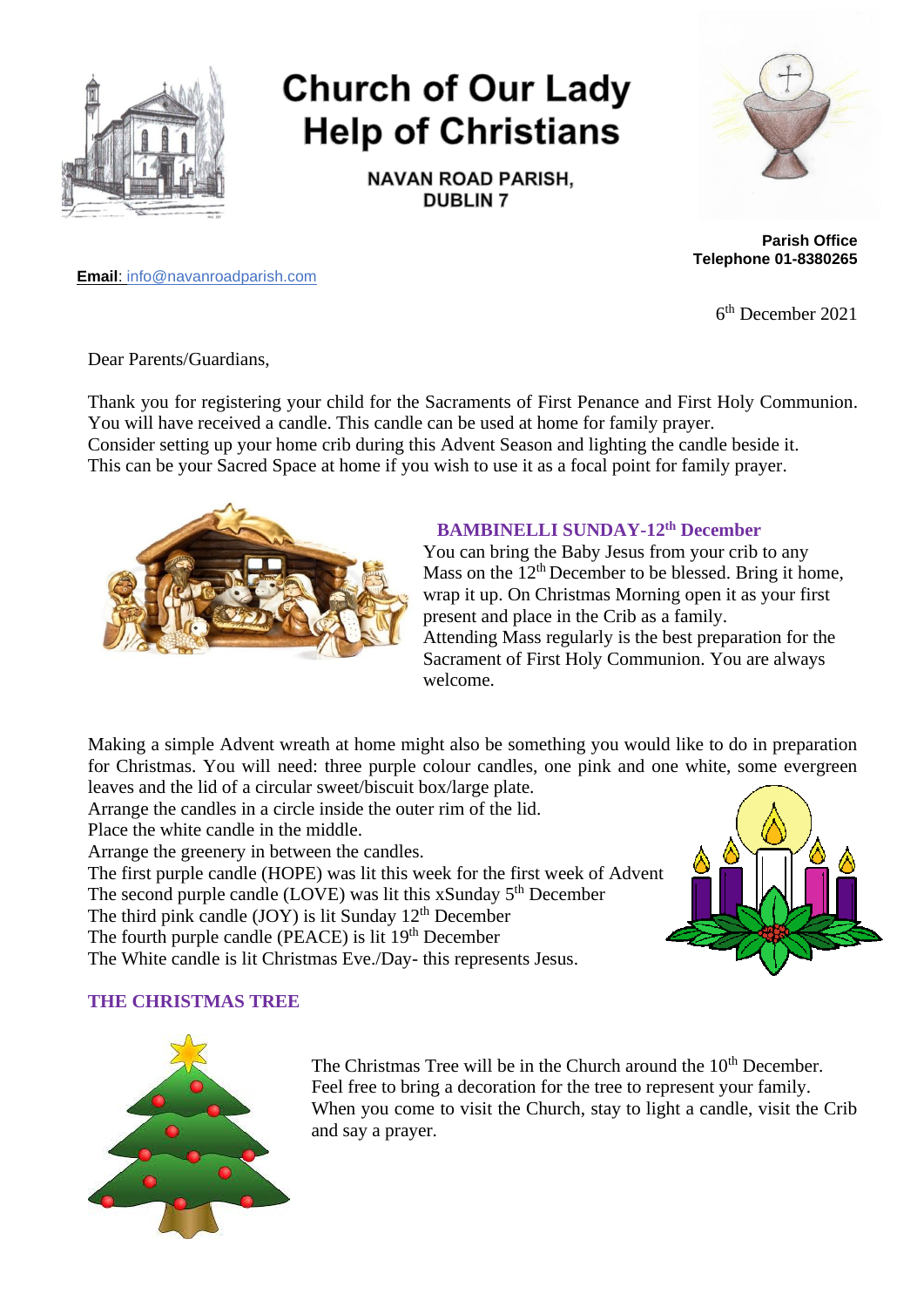

# **Church of Our Lady Help of Christians**

**NAVAN ROAD PARISH, DUBLIN 7** 



**Parish Office Telephone 01-8380265**

**Email**: info@navanroadparish.com

6 th December 2021

Dear Parents/Guardians,

Thank you for registering your child for the Sacraments of First Penance and First Holy Communion. You will have received a candle. This candle can be used at home for family prayer. Consider setting up your home crib during this Advent Season and lighting the candle beside it. This can be your Sacred Space at home if you wish to use it as a focal point for family prayer.



#### **BAMBINELLI SUNDAY-12th December**

You can bring the Baby Jesus from your crib to any Mass on the  $12<sup>th</sup>$  December to be blessed. Bring it home, wrap it up. On Christmas Morning open it as your first present and place in the Crib as a family. Attending Mass regularly is the best preparation for the Sacrament of First Holy Communion. You are always welcome.

Making a simple Advent wreath at home might also be something you would like to do in preparation for Christmas. You will need: three purple colour candles, one pink and one white, some evergreen leaves and the lid of a circular sweet/biscuit box/large plate.

Arrange the candles in a circle inside the outer rim of the lid.

Place the white candle in the middle.

Arrange the greenery in between the candles.

The first purple candle (HOPE) was lit this week for the first week of Advent

The second purple candle  $(LOVE)$  was lit this xSunday  $5<sup>th</sup>$  December

The third pink candle  $(JOY)$  is lit Sunday 12<sup>th</sup> December

The fourth purple candle (PEACE) is lit 19<sup>th</sup> December

The White candle is lit Christmas Eve./Day- this represents Jesus.



#### **THE CHRISTMAS TREE**



The Christmas Tree will be in the Church around the 10<sup>th</sup> December. Feel free to bring a decoration for the tree to represent your family. When you come to visit the Church, stay to light a candle, visit the Crib and say a prayer.